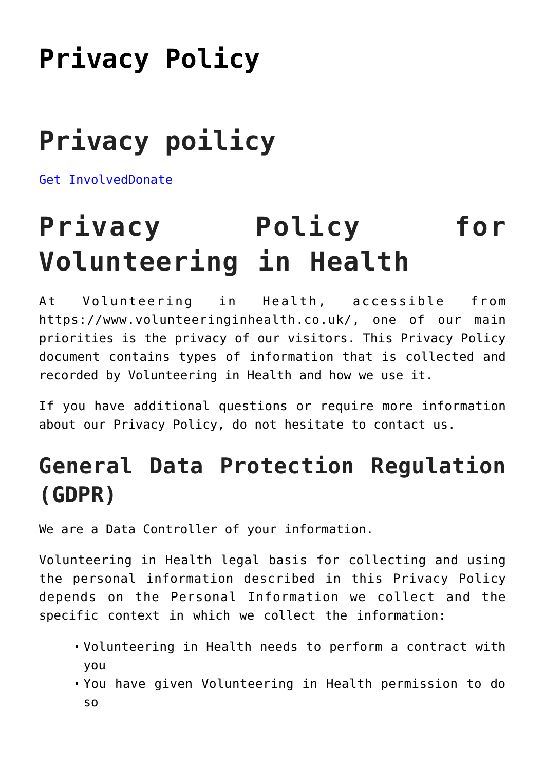## **[Privacy Policy](https://www.volunteeringinhealth.co.uk/privacy-policy/)**

# **Privacy poilicy**

[Get Involved](https://www.volunteeringinhealth.co.uk/volunteering/)[Donate](https://www.totalgiving.co.uk/charity/volunteering-in-health-1182615)

# **Privacy Policy for Volunteering in Health**

At Volunteering in Health, accessible from https://www.volunteeringinhealth.co.uk/, one of our main priorities is the privacy of our visitors. This Privacy Policy document contains types of information that is collected and recorded by Volunteering in Health and how we use it.

If you have additional questions or require more information about our Privacy Policy, do not hesitate to contact us.

### **General Data Protection Regulation (GDPR)**

We are a Data Controller of your information.

Volunteering in Health legal basis for collecting and using the personal information described in this Privacy Policy depends on the Personal Information we collect and the specific context in which we collect the information:

- Volunteering in Health needs to perform a contract with you
- You have given Volunteering in Health permission to do so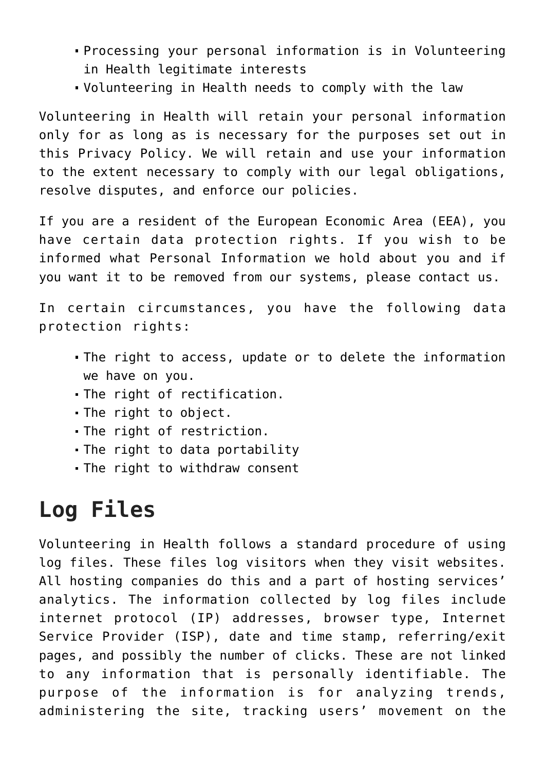- Processing your personal information is in Volunteering in Health legitimate interests
- Volunteering in Health needs to comply with the law

Volunteering in Health will retain your personal information only for as long as is necessary for the purposes set out in this Privacy Policy. We will retain and use your information to the extent necessary to comply with our legal obligations, resolve disputes, and enforce our policies.

If you are a resident of the European Economic Area (EEA), you have certain data protection rights. If you wish to be informed what Personal Information we hold about you and if you want it to be removed from our systems, please contact us.

In certain circumstances, you have the following data protection rights:

- The right to access, update or to delete the information we have on you.
- The right of rectification.
- The right to object.
- The right of restriction.
- The right to data portability
- The right to withdraw consent

### **Log Files**

Volunteering in Health follows a standard procedure of using log files. These files log visitors when they visit websites. All hosting companies do this and a part of hosting services' analytics. The information collected by log files include internet protocol (IP) addresses, browser type, Internet Service Provider (ISP), date and time stamp, referring/exit pages, and possibly the number of clicks. These are not linked to any information that is personally identifiable. The purpose of the information is for analyzing trends, administering the site, tracking users' movement on the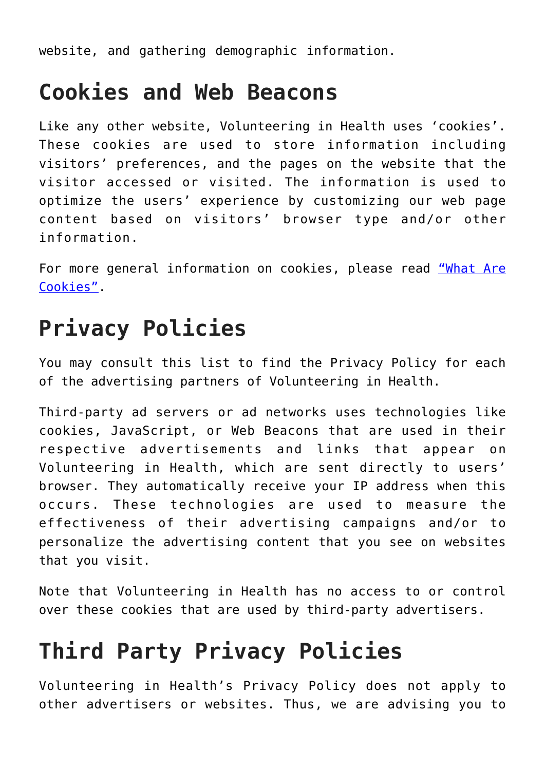website, and gathering demographic information.

#### **Cookies and Web Beacons**

Like any other website, Volunteering in Health uses 'cookies'. These cookies are used to store information including visitors' preferences, and the pages on the website that the visitor accessed or visited. The information is used to optimize the users' experience by customizing our web page content based on visitors' browser type and/or other information.

For more general information on cookies, please read ["What Are](https://www.privacypolicyonline.com/what-are-cookies/) [Cookies".](https://www.privacypolicyonline.com/what-are-cookies/)

#### **Privacy Policies**

You may consult this list to find the Privacy Policy for each of the advertising partners of Volunteering in Health.

Third-party ad servers or ad networks uses technologies like cookies, JavaScript, or Web Beacons that are used in their respective advertisements and links that appear on Volunteering in Health, which are sent directly to users' browser. They automatically receive your IP address when this occurs. These technologies are used to measure the effectiveness of their advertising campaigns and/or to personalize the advertising content that you see on websites that you visit.

Note that Volunteering in Health has no access to or control over these cookies that are used by third-party advertisers.

#### **Third Party Privacy Policies**

Volunteering in Health's Privacy Policy does not apply to other advertisers or websites. Thus, we are advising you to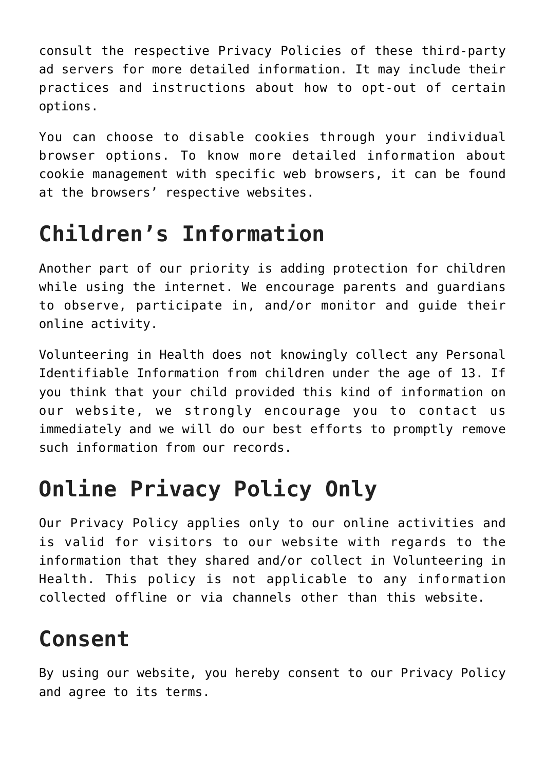consult the respective Privacy Policies of these third-party ad servers for more detailed information. It may include their practices and instructions about how to opt-out of certain options.

You can choose to disable cookies through your individual browser options. To know more detailed information about cookie management with specific web browsers, it can be found at the browsers' respective websites.

#### **Children's Information**

Another part of our priority is adding protection for children while using the internet. We encourage parents and guardians to observe, participate in, and/or monitor and guide their online activity.

Volunteering in Health does not knowingly collect any Personal Identifiable Information from children under the age of 13. If you think that your child provided this kind of information on our website, we strongly encourage you to contact us immediately and we will do our best efforts to promptly remove such information from our records.

## **Online Privacy Policy Only**

Our Privacy Policy applies only to our online activities and is valid for visitors to our website with regards to the information that they shared and/or collect in Volunteering in Health. This policy is not applicable to any information collected offline or via channels other than this website.

### **Consent**

By using our website, you hereby consent to our Privacy Policy and agree to its terms.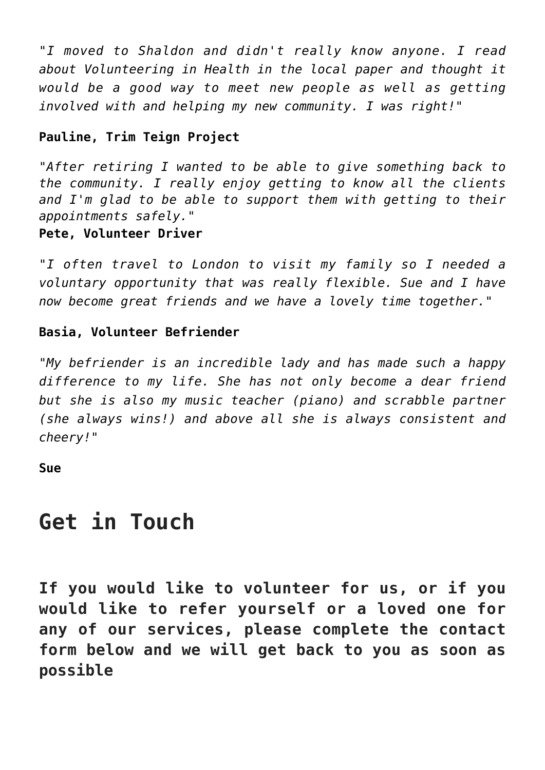*"I moved to Shaldon and didn't really know anyone. I read about Volunteering in Health in the local paper and thought it would be a good way to meet new people as well as getting involved with and helping my new community. I was right!"*

#### **Pauline, Trim Teign Project**

*"After retiring I wanted to be able to give something back to the community. I really enjoy getting to know all the clients and I'm glad to be able to support them with getting to their appointments safely."*

#### **Pete, Volunteer Driver**

*"I often travel to London to visit my family so I needed a voluntary opportunity that was really flexible. Sue and I have now become great friends and we have a lovely time together."*

#### **Basia, Volunteer Befriender**

*"My befriender is an incredible lady and has made such a happy difference to my life. She has not only become a dear friend but she is also my music teacher (piano) and scrabble partner (she always wins!) and above all she is always consistent and cheery!"*

**Sue**

#### **Get in Touch**

**If you would like to volunteer for us, or if you would like to refer yourself or a loved one for any of our services, please complete the contact form below and we will get back to you as soon as possible**